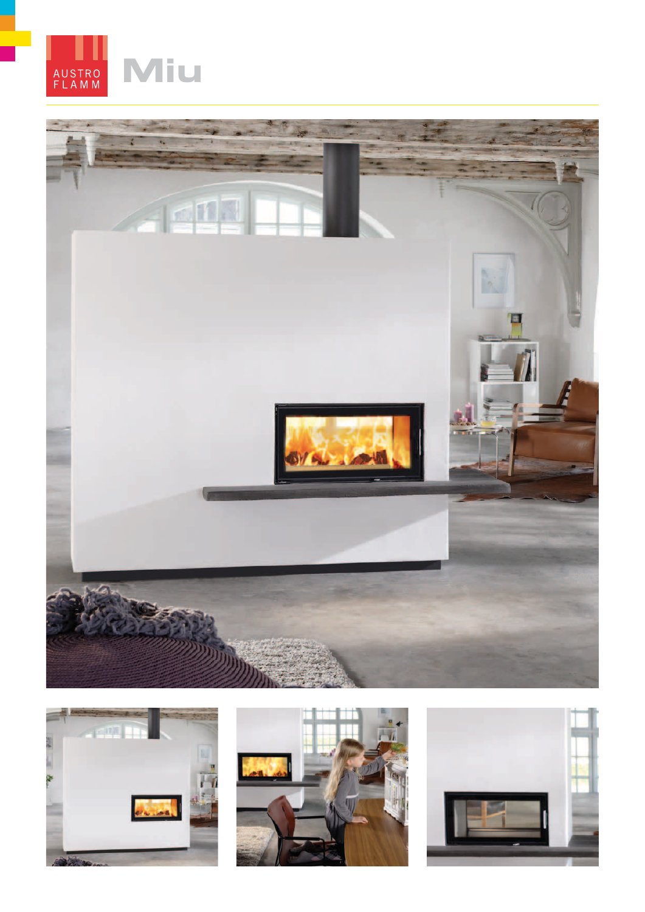